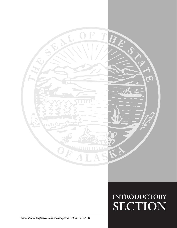

### **INTRODUCTORY SECTION SECTION**

*Alaska Public Employees' Retirement System* **• FY 2012 CAFR**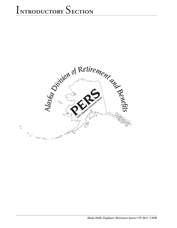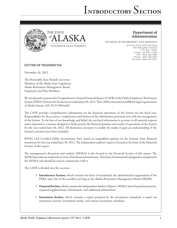## i**ntroductory** S**ection**





### **Department of Administration**

DIVISION OF RETIREMENT AND BENEFITS

6th Floor State Office Building 333 Willoughby Avenue P.O. Box 110203 Juneau, AK 99811-0203 FAX: (907) 465-3086 Phone: (907) 465-4460 Toll-Free: (800) 821-2251

### **LETTER OF TRANSMITTAL**

November 26, 2012

The Honorable Sean Parnell, Governor Members of the Alaska State Legislature Alaska Retirement Management Board Employers and Plan Members

We are pleased to present the Comprehensive Annual Financial Report (CAFR) of the Public Employees' Retirement System (PERS) (System) for the fiscal year ended June 30, 2012. The CAFR is intended to fulfill the legal requirements of Alaska Statute (AS) 39.35.004(a)(8).

The CAFR provides comprehensive information on the financial operations of the System for the fiscal year. Responsibility for the accuracy, completeness and fairness of the information presented rests with the management of the System. To the best of our knowledge and belief, the enclosed information is accurate in all material respects and is reported in a manner designed to fairly present the financial position and results of operations of the System for the year ended June 30, 2012. All disclosures necessary to enable the reader to gain an understanding of the System's activities have been included.

KPMG LLP, Certified Public Accountants, have issued an unqualified opinion on the Systems' basic financial statements for the year ended June 30, 2012. The independent auditor's report is located at the front of the Financial Section of this report.

The management's discussion and analysis (MD&A) is also located in the Financial Section of this report. The MD&A provides an analytical overview of the financial statements. This letter of transmittal is designed to complement the MD&A and should be read in conjunction with it.

The CAFR is divided into five sections:

- • **Introductory Section,** which contains the letter of transmittal, the administrative organization of the PERS, and a list of the members serving on the Alaska Retirement Management Board (ARMB);
- • **Financial Section,** which contains the Independent Auditor's Report, MD&A, basic financial statements, required supplementary information, and additional information;
- • **Investment Section,** which contains a report prepared by the investment consultant, a report on investment activity, investment results, and various investment schedules;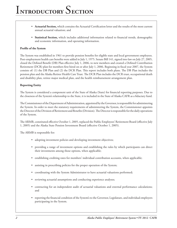- • **Actuarial Section,** which contains the Actuarial Certification letter and the results of the most current annual actuarial valuation; and
- • **Statistical Section,** which includes additional information related to financial trends, demographic and economic information, and operating information.

#### **Profile of the System**

The System was established in 1961 to provide pension benefits for eligible state and local government employees. Post-employment health care benefits were added in July 1, 1975. Senate Bill 141, signed into law on July 27, 2005, closed the Defined Benefit (DB) Plan effective July 1, 2006, to new members and created a Defined Contribution Retirement (DCR) plan for members first hired on or after July 1, 2006. Beginning in fiscal year 2007, the System consists of: (1) the DB Plan and (2) the DCR Plan. This report includes both plans. The DB Plan includes the pension plan and the Alaska Retiree Health Care Trust. The DCR Plan includes the DCR trust, occupational death and disability plan, retiree major medical plan, and the health reimbursement arrangement plan.

#### **Reporting Entity**

The System is considered a component unit of the State of Alaska (State) for financial reporting purposes. Due to the closeness of the System's relationship to the State, it is included in the State of Alaska CAFR as a fiduciary fund.

The Commissioner of the Department of Administration, appointed by the Governor, is responsible for administering the System. In order to meet the statutory requirements of administering the System, the Commissioner appoints the Director of the Division of Retirement and Benefits (Division). The Director is responsible for the daily operations of the System.

The ARMB, constituted effective October 1, 2005, replaced the Public Employees' Retirement Board (effective July 1, 2005) and the Alaska State Pension Investment Board (effective October 1, 2005).

The ARMB is responsible for:

- adopting investment policies and developing investment objectives;
- • providing a range of investment options and establishing the rules by which participants can direct their investments among those options, when applicable;
- establishing crediting rates for members' individual contribution accounts, when applicable;
- assisting in prescribing policies for the proper operation of the System;
- coordinating with the System Administrator to have actuarial valuations performed;
- reviewing actuarial assumptions and conducting experience analyses;
- contracting for an independent audit of actuarial valuations and external performance calculations; and
- reporting the financial condition of the System's to the Governor, Legislature, and individual employers participating in the System.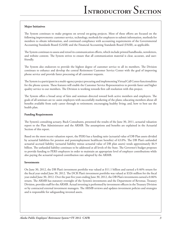### **Major Initiatives**

The System continues to make progress on several on-going projects. Most of these efforts are focused on the following improvements: customer service, technology, methods for employers to submit information, methods for members to obtain information, and continued compliance with accounting requirements of the Governmental Accounting Standards Board (GASB) and the Financial Accounting Standards Board (FASB), as applicable.

The System continues to assess and retool its communication efforts, which include printed handbooks, newsletters, and website content. The System strives to ensure that all communication material is clear, accurate, and userfriendly.

The System also endeavors to provide the highest degree of customer service to all its members. The Division continues to enhance and develop the central Retirement Customer Service Center with the goal of improving phone service and provide faster processing of all customer requests.

The System is a participant in a multi-agency project procuring and implementing Virtual Call Center functionalities for the phone system. These features will enable the Customer Service Representatives to provide faster and higher quality service to our members. The Division is working towards first call resolution with this project.

The System offers a broad array of fairs and seminars directed toward both active members and employers. The goals of all seminars are to: assist employers with successfully marketing of the plans; educating members about all benefits available from early career through to retirement; encouraging healthy living; and, how to best use the health plan.

#### **Funding Requirements**

The System's consulting actuary, Buck Consultants, presented the results of the June 30, 2011, actuarial valuation report to the Plan Administrator and the ARMB. The assumptions and benefits are explained in the Actuarial Section of this report.

Based on the most recent valuation report, the PERS has a funding ratio (actuarial value of DB Plan assets divided by actuarial liabilities for pension and postemployment healthcare benefits) of 63.0%. The DB Plan's unfunded actuarial accrued liability (actuarial liability minus actuarial value of DB plan assets) totals approximately \$6.9 billion. The unfunded liability continues to be addressed at all levels of the State. The Governor's budget proposes to provide funding to PERS employers in order to maintain an appropriate level of employer contributions while also paying the actuarial required contribution rate adopted by the ARMB.

#### **Investments**

On June 30, 2012, the DB Plan's investment portfolio was valued at \$11.1 billion and earned a 0.46% return for the fiscal year ended June 30, 2012. The DCR Plan's investment portfolio was valued at \$326 million for the fiscal year ended June 30, 2012. Over the past five years ending June 30, 2012, the DB Plan's investments earned a 0.86% return. The ARMB has statutory oversight of the System's investments and the Department of Revenue, Treasury Division, provides staff for the ARMB. Actual investing is performed by investment officers in the Treasury Division or by contracted external investment managers. The ARMB reviews and updates investment policies and strategies and is responsible for safeguarding invested assets.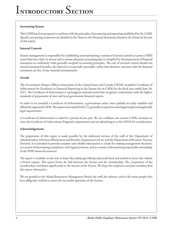### **Accounting System**

This CAFR has been prepared to conform with the principles of accounting and reporting established by the GASB. Specific accounting treatments are detailed in the Notes to the Financial Statements found in the Financial Section of this report.

### **Internal Controls**

System management is responsible for establishing and maintaining a system of internal controls to protect PERS assets from loss, theft, or misuse and to ensure adequate accounting data is compiled for the preparation of financial statements in conformity with generally accepted accounting principles. The cost of internal control should not exceed anticipated benefits; the objective is to provide reasonable, rather than absolute, assurance that the financial statements are free of any material misstatements.

#### **Awards**

The Government Finance Officers Association of the United States and Canada (GFOA) awarded a Certificate of Achievement for Excellence in Financial Reporting to the System for its CAFR for the fiscal year ended June 30, 2011. The Certificate of Achievement is a prestigious national award that recognizes conformance with the highest standards of preparation of state and local government financial reports.

In order to be awarded a Certificate of Achievement, a government entity must publish an easily readable and efficiently organized CAFR. This report must satisfy both U.S. generally accepted accounting principles and applicable legal requirements.

A Certificate of Achievement is valid for a period of one year. We are confident our current CAFR continues to meet the Certificate of Achievement Program's requirements and are submitting it to the GFOA for consideration.

#### **Acknowledgements**

The preparation of this report is made possible by the dedicated services of the staff of the Department of Administration, Division of Retirement and Benefits, Department of Law, and the Department of Revenue, Treasury Division. It is intended to provide complete and reliable information as a basis for making management decisions, as a means of determining compliance with legal provisions, and as a means of determining responsible stewardship of the PERS financial resources.

The report is available on the web at http://doa.alaska.gov/drb/pers/perscafr.html and mailed to those who submit a formal request. This report forms the link between the System and the membership. The cooperation of the membership contributes significantly to the success of the System. We hope the employers and plan members find this report informative.

We are grateful to the Alaska Retirement Management Board, the staff, the advisors, and to the many people who have diligently worked to assure the successful operation of the System.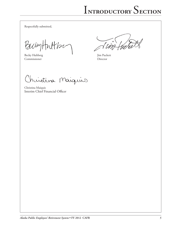Respectfully submitted,

PackyHuttpe

Becky Hultberg Jim Puckett<br>Commissioner Director Commissioner

 $\sim$   $\sqrt{ }$ 

Christina Maiquie

Christina Maiquis Interim Chief Financial Officer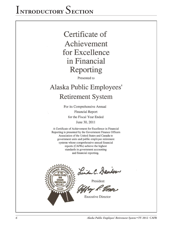### Certificate of Achievement for Excellence in Financial Reporting

Presented to

### Alaska Public Employees' **Retirement System**

For its Comprehensive Annual **Financial Report** for the Fiscal Year Ended June 30, 2011

A Certificate of Achievement for Excellence in Financial Reporting is presented by the Government Finance Officers Association of the United States and Canada to government units and public employee retirement systems whose comprehensive annual financial reports (CAFRs) achieve the highest standards in government accounting and financial reporting.



Linda C. Dandon

**Executive Director**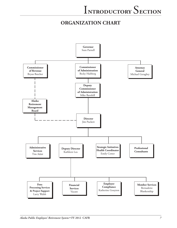### **organization CHART**

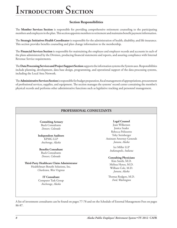# i**ntroductory** S**ection**

### **Section Responsibilities**

The **Member Services Section** is responsible for providing comprehensive retirement counseling to the participating members and employers in the plan. This section appoints members to retirement and maintains benefit payment information.

The **Strategic Initiatives Health Coordinator** is responsible for the administration of health, disability, and life insurance. This section provides benefits counseling and plan change information to the membership.

The **Financial Services Section** is responsible for maintaining the employee and employer records and accounts in each of the plans administered by the Division, producing financial statements and reports, and assuring compliance with Internal Revenue Service requirements.

The **Data Processing Services and Project Support Section** supports the information systems the System uses. Responsibilities include planning, development, data base design, programming, and operational support of the data processing systems, including the Local Area Network.

The **Administrative Services Section** is responsible for budget preparation, fiscal management of appropriations, procurement of professional services, supplies, and equipment. The section manages the systems' record center containing the member's physical records and performs other administrative functions such as legislative tracking and personnel management.

### **PROFESSIONAL CONSULTANTS**

**Consulting Actuary** Buck Consultants *Denver, Colorado*

**Independent Auditors** KPMG LLP *Anchorage, Alaska*

**Benefits Consultant** Buck Consultants *Denver, Colorado*

**Third-Party Healthcare Claim Administrator** HealthSmart Benefit Solutions, Inc. *Charleston, West Virginia*

> **IT Consultant** Computer Task Group *Anchorage, Alaska*

#### **Legal Counsel** Joan Wilkerson Jessica Srader Rebecca Polizzotto Toby Steinberger Assistant Attorney Generals *Juneau, Alaska*

Ice Miller LLP *Indianapolis, Indiana*

#### **Consulting Physicians**

Kim Smith, M.D. Melissa Hynes, M.D. William Cole, M.D. *Juneau, Alaska*

Thomas Rodgers, M.D. *Ford, Washington*

A list of investment consultants can be found on pages 77-78 and on the Schedule of External Management Fees on pages 86-87.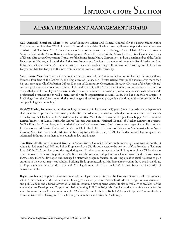### **Alaska Retirement Management Board**

**Gail (Anagick) Schubert, Chair,** is the Chief Executive Officer and General Counsel for the Bering Straits Native Corporation, and President/CEO of several of its subsidiary entities. She is an attorney licensed to practice law in the states of Alaska and New York. Mrs. Schubert serves as Chair of the Alaska Native Heritage Center, Chair of Akeela Treatment Services, Chair of the Alaska Retirement Management Board, Vice Chair of the Alaska Native Justice Center, Vice Chair of Khoanic Broadcast Corporation, Treasurer of the Bering Straits Native Corporation, and as a board member of the Alaska Federation of Natives, and the Alaska Native Arts Foundation. She is also a member of the Alaska Rural Justice and Law Enforcement Commission. Mrs. Schubert received her undergraduate degree from Stanford University, and holds a Law Degree and Masters Degree in Business Administration from Cornell University.

**Sam Trivette, Vice-Chair**, is on the national executive board of the American Federation of Teachers Retirees and was formerly President of the Retired Public Employees of Alaska. Mr. Trivette retired from public service after more than 32 years serving as Chief Probation Officer, Director of Community Corrections, Executive Director of the Parole Board, and as a probation and correctional officer. He is President of Quality Corrections Services, and on the board of directors of the Alaska Public Employees Association. Mr. Trivette has also served as an officer in a number of national and statewide professional organizations as well a many not-for-profit organizations around Alaska. He has a Bachelor's Degree in Psychology from the University of Alaska, Anchorage and has completed postgraduate work in public administration, law and psychological counseling.

**Gayle W. Harbo, Secretary,** retired after teaching mathematics in Fairbanks for 25 years. She also served as math department chair, as advanced placement coordinator, on the district curriculum, evaluation and budget committees, and twice as chair of the Lathrop Self-Evaluation for Accreditation Committee. Ms. Harbo is a member of Alpha Delta Kappa, AARP, National Retired Teachers of Alaska, Fairbanks Retired Teachers Association, National Council of Teacher Retirement Systems, NCTR Education Committee, and the Alaska Teachers' Retirement Board. She is also a co-manager of a family trust. Ms. Harbo was named Alaska Teacher of the Year in 1989. She holds a Bachelor's of Science in Mathematics from North Carolina State University, and a Masters in Teaching from the University of Alaska, Fairbanks, and has completed an additional 40 hours in mathematics, counseling, law and finance.

**Tom Brice** is the Business Representative for the Alaska District Council of Laborers administering the contracts in Southeast Alaska for Laborers Local 942 and Public Employees Local 71. He was elected to the position of Vice President of Laborers Local 942 in 2011, and has sat on the negotiating team for the state contract with Public Employees Local 71 for the past three contracts. Prior to this position, Mr. Brice was the Apprenticeship Outreach Coordinator for the Alaska Works Partnership. Here he developed and managed a statewide program focused on assisting qualified rural Alaskans to gain entrance to the various registered Alaskan Building Trade apprenticeships. Mr. Brice also served in the Alaska State House of Representatives between the 18th and 21st legislatures. He has a Bachelor's Degree from the University of Alaska Fairbanks.

**Bryan Butcher** was appointed Commissioner of the Department of Revenue by Governor Sean Parnell in November, 2010. Prior to that, he worked at the Alaska Housing Finance Corporation (AHFC) as the director of governmental relations and public affairs and advised Governor Parnell on economic development issues. He also served as vice president of the Alaska Gasline Development Corporation. Before joining AHFC in 2003, Mr. Butcher worked as a finance aide for the state House and Senate finance committees for 12 years. Mr. Butcher holds a Bachelor's Degree in Speech Communications from the University of Oregon. He is a lifelong Alaskan, born and raised in Anchorage.